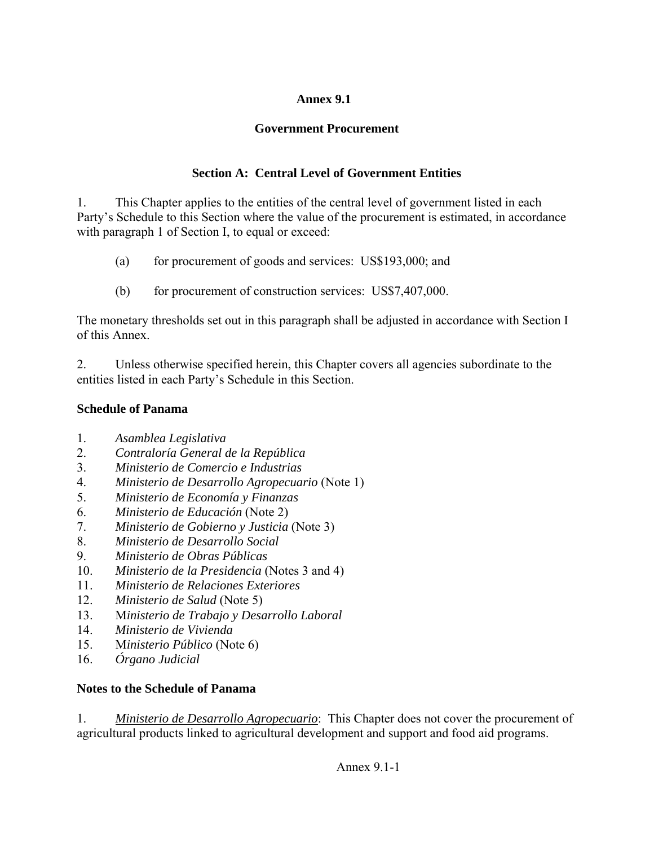### **Annex 9.1**

# **Government Procurement**

# **Section A: Central Level of Government Entities**

1. This Chapter applies to the entities of the central level of government listed in each Party's Schedule to this Section where the value of the procurement is estimated, in accordance with paragraph 1 of Section I, to equal or exceed:

- (a) for procurement of goods and services: US\$193,000; and
- (b) for procurement of construction services: US\$7,407,000.

The monetary thresholds set out in this paragraph shall be adjusted in accordance with Section I of this Annex.

2. Unless otherwise specified herein, this Chapter covers all agencies subordinate to the entities listed in each Party's Schedule in this Section.

## **Schedule of Panama**

- 1. *Asamblea Legislativa*
- 2. *Contraloría General de la República*
- 3. *Ministerio de Comercio e Industrias*
- 4. *Ministerio de Desarrollo Agropecuario* (Note 1)
- 5. *Ministerio de Economía y Finanzas*
- 6. *Ministerio de Educación* (Note 2)
- 7. *Ministerio de Gobierno y Justicia* (Note 3)
- 8. *Ministerio de Desarrollo Social*
- 9. *Ministerio de Obras Públicas*
- 10. *Ministerio de la Presidencia* (Notes 3 and 4)
- 11. *Ministerio de Relaciones Exteriores*
- 12. *Ministerio de Salud* (Note 5)
- 13. M*inisterio de Trabajo y Desarrollo Laboral*
- 14. *Ministerio de Vivienda*
- 15. M*inisterio Público* (Note 6)
- 16. *Órgano Judicial*

### **Notes to the Schedule of Panama**

1. *Ministerio de Desarrollo Agropecuario*: This Chapter does not cover the procurement of agricultural products linked to agricultural development and support and food aid programs.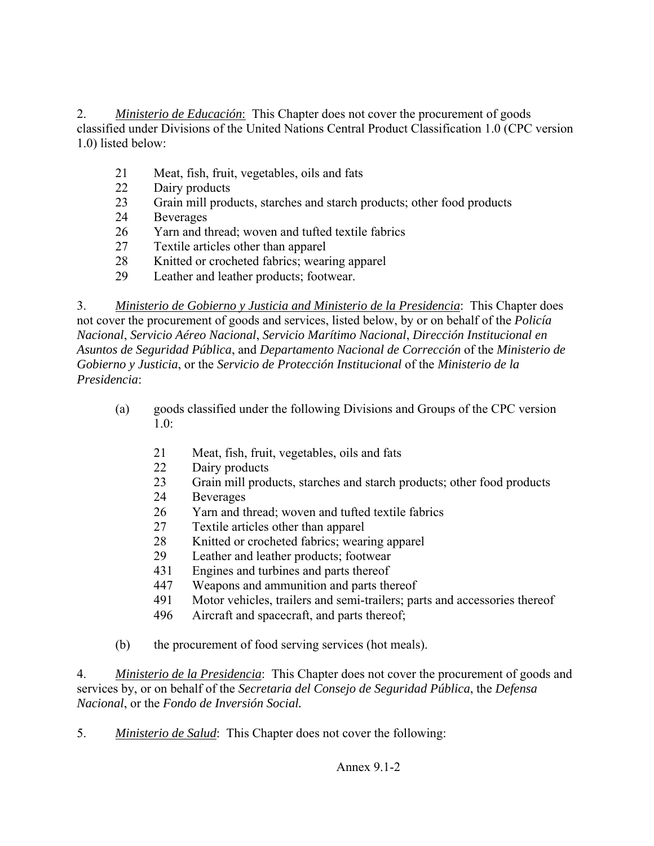2. *Ministerio de Educación*: This Chapter does not cover the procurement of goods classified under Divisions of the United Nations Central Product Classification 1.0 (CPC version 1.0) listed below:

- [21](http://unstats.un.org/unsd/cr/registry/regcs.asp?Cl=3&Lg=1&Co=21) Meat, fish, fruit, vegetables, oils and fats
- [22](http://unstats.un.org/unsd/cr/registry/regcs.asp?Cl=3&Lg=1&Co=22) Dairy products
- [23](http://unstats.un.org/unsd/cr/registry/regcs.asp?Cl=3&Lg=1&Co=23) Grain mill products, starches and starch products; other food products
- [24](http://unstats.un.org/unsd/cr/registry/regcs.asp?Cl=3&Lg=1&Co=24) Beverages
- [26](http://unstats.un.org/unsd/cr/registry/regcs.asp?Cl=3&Lg=1&Co=26) Yarn and thread; woven and tufted textile fabrics
- [27](http://unstats.un.org/unsd/cr/registry/regcs.asp?Cl=3&Lg=1&Co=27) Textile articles other than apparel
- [28](http://unstats.un.org/unsd/cr/registry/regcs.asp?Cl=3&Lg=1&Co=28) Knitted or crocheted fabrics; wearing apparel
- [29](http://unstats.un.org/unsd/cr/registry/regcs.asp?Cl=3&Lg=1&Co=29) Leather and leather products; footwear.

3. *Ministerio de Gobierno y Justicia and Ministerio de la Presidencia*: This Chapter does not cover the procurement of goods and services, listed below, by or on behalf of the *Policía Nacional*, *Servicio Aéreo Nacional*, *Servicio Marítimo Nacional*, *Dirección Institucional en Asuntos de Seguridad Pública*, and *Departamento Nacional de Corrección* of the *Ministerio de Gobierno y Justicia*, or the *Servicio de Protección Institucional* of the *Ministerio de la Presidencia*:

- (a) goods classified under the following Divisions and Groups of the CPC version  $1.0<sup>o</sup>$ 
	- [21](http://unstats.un.org/unsd/cr/registry/regcs.asp?Cl=3&Lg=1&Co=21) Meat, fish, fruit, vegetables, oils and fats
	- [22](http://unstats.un.org/unsd/cr/registry/regcs.asp?Cl=3&Lg=1&Co=22) Dairy products
	- [23](http://unstats.un.org/unsd/cr/registry/regcs.asp?Cl=3&Lg=1&Co=23) Grain mill products, starches and starch products; other food products
	- [24](http://unstats.un.org/unsd/cr/registry/regcs.asp?Cl=3&Lg=1&Co=24) Beverages
	- [26](http://unstats.un.org/unsd/cr/registry/regcs.asp?Cl=3&Lg=1&Co=26) Yarn and thread; woven and tufted textile fabrics
	- [27](http://unstats.un.org/unsd/cr/registry/regcs.asp?Cl=3&Lg=1&Co=27) Textile articles other than apparel
	- [28](http://unstats.un.org/unsd/cr/registry/regcs.asp?Cl=3&Lg=1&Co=28) Knitted or crocheted fabrics; wearing apparel
	- [29](http://unstats.un.org/unsd/cr/registry/regcs.asp?Cl=3&Lg=1&Co=29) Leather and leather products; footwear
	- [431](http://unstats.un.org/unsd/cr/registry/regcs.asp?Cl=3&Lg=1&Co=431) Engines and turbines and parts thereof
	- [447](http://unstats.un.org/unsd/cr/registry/regcs.asp?Cl=3&Lg=1&Co=447) Weapons and ammunition and parts thereof
	- 491 Motor vehicles, trailers and semi-trailers; parts and accessories thereof
	- 496 Aircraft and spacecraft, and parts thereof;

(b) the procurement of food serving services (hot meals).

4. *Ministerio de la Presidencia*: This Chapter does not cover the procurement of goods and services by, or on behalf of the *Secretaria del Consejo de Seguridad Pública*, the *Defensa Nacional*, or the *Fondo de Inversión Social.*

5. *Ministerio de Salud*: This Chapter does not cover the following: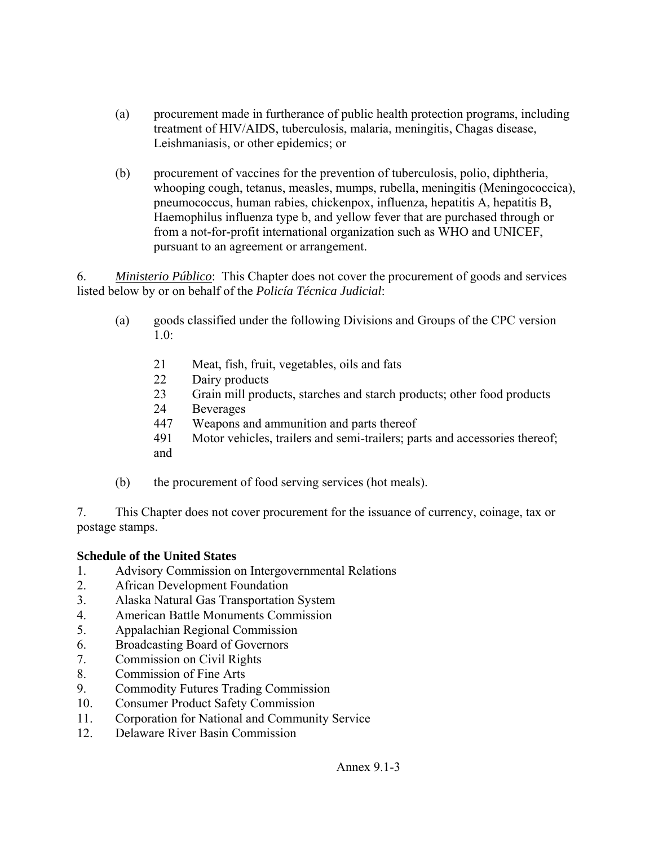- (a) procurement made in furtherance of public health protection programs, including treatment of HIV/AIDS, tuberculosis, malaria, meningitis, Chagas disease, Leishmaniasis, or other epidemics; or
- (b) procurement of vaccines for the prevention of tuberculosis, polio, diphtheria, whooping cough, tetanus, measles, mumps, rubella, meningitis (Meningococcica), pneumococcus, human rabies, chickenpox, influenza, hepatitis A, hepatitis B, Haemophilus influenza type b, and yellow fever that are purchased through or from a not-for-profit international organization such as WHO and UNICEF, pursuant to an agreement or arrangement.

6. *Ministerio Público*: This Chapter does not cover the procurement of goods and services listed below by or on behalf of the *Policía Técnica Judicial*:

- (a) goods classified under the following Divisions and Groups of the CPC version 1.0:
	- [21](http://unstats.un.org/unsd/cr/registry/regcs.asp?Cl=3&Lg=1&Co=21) Meat, fish, fruit, vegetables, oils and fats
	- [22](http://unstats.un.org/unsd/cr/registry/regcs.asp?Cl=3&Lg=1&Co=22) Dairy products
	- [23](http://unstats.un.org/unsd/cr/registry/regcs.asp?Cl=3&Lg=1&Co=23) Grain mill products, starches and starch products; other food products
	- [24](http://unstats.un.org/unsd/cr/registry/regcs.asp?Cl=3&Lg=1&Co=24) Beverages
	- [447](http://unstats.un.org/unsd/cr/registry/regcs.asp?Cl=3&Lg=1&Co=447) Weapons and ammunition and parts thereof
	- 491 Motor vehicles, trailers and semi-trailers; parts and accessories thereof; and
- (b) the procurement of food serving services (hot meals).

7. This Chapter does not cover procurement for the issuance of currency, coinage, tax or postage stamps.

#### **Schedule of the United States**

- 1. Advisory Commission on Intergovernmental Relations
- 2. African Development Foundation
- 3. Alaska Natural Gas Transportation System
- 4. American Battle Monuments Commission
- 5. Appalachian Regional Commission
- 6. Broadcasting Board of Governors
- 7. Commission on Civil Rights
- 8. Commission of Fine Arts
- 9. Commodity Futures Trading Commission
- 10. Consumer Product Safety Commission
- 11. Corporation for National and Community Service
- 12. Delaware River Basin Commission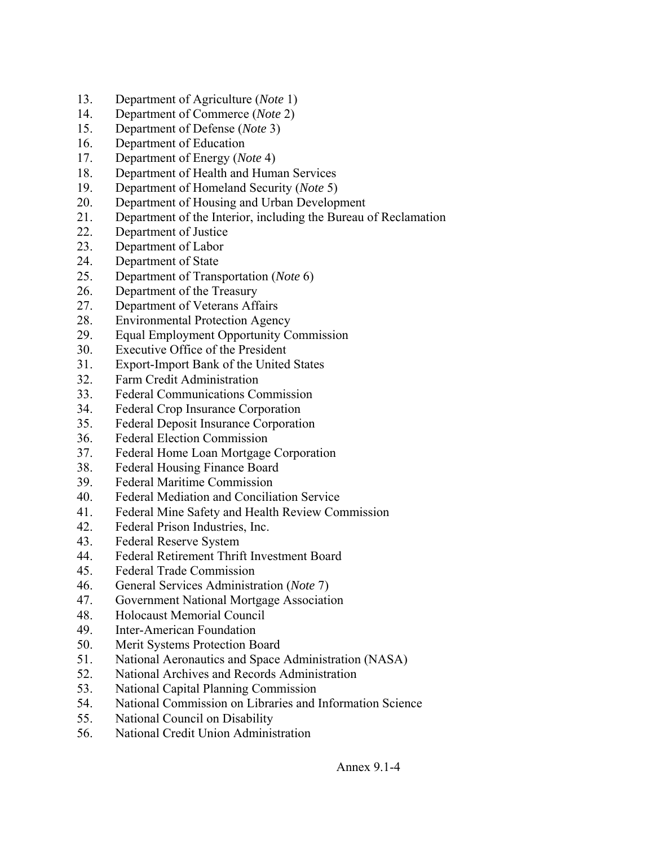- 13. Department of Agriculture (*Note* 1)
- 14. Department of Commerce (*Note* 2)
- 15. Department of Defense (*Note* 3)
- 16. Department of Education
- 17. Department of Energy (*Note* 4)
- 18. Department of Health and Human Services
- 19. Department of Homeland Security (*Note* 5)
- 20. Department of Housing and Urban Development
- 21. Department of the Interior, including the Bureau of Reclamation
- 22. Department of Justice
- 23. Department of Labor
- 24. Department of State
- 25. Department of Transportation (*Note* 6)
- 26. Department of the Treasury
- 27. Department of Veterans Affairs
- 28. Environmental Protection Agency
- 29. Equal Employment Opportunity Commission
- 30. Executive Office of the President
- 31. Export-Import Bank of the United States
- 32. Farm Credit Administration
- 33. Federal Communications Commission
- 34. Federal Crop Insurance Corporation
- 35. Federal Deposit Insurance Corporation
- 36. Federal Election Commission
- 37. Federal Home Loan Mortgage Corporation
- 38. Federal Housing Finance Board
- 39. Federal Maritime Commission
- 40. Federal Mediation and Conciliation Service
- 41. Federal Mine Safety and Health Review Commission
- 42. Federal Prison Industries, Inc.
- 43. Federal Reserve System
- 44. Federal Retirement Thrift Investment Board
- 45. Federal Trade Commission
- 46. General Services Administration (*Note* 7)
- 47. Government National Mortgage Association
- 48. Holocaust Memorial Council
- 49. Inter-American Foundation
- 50. Merit Systems Protection Board
- 51. National Aeronautics and Space Administration (NASA)
- 52. National Archives and Records Administration
- 53. National Capital Planning Commission
- 54. National Commission on Libraries and Information Science
- 55. National Council on Disability
- 56. National Credit Union Administration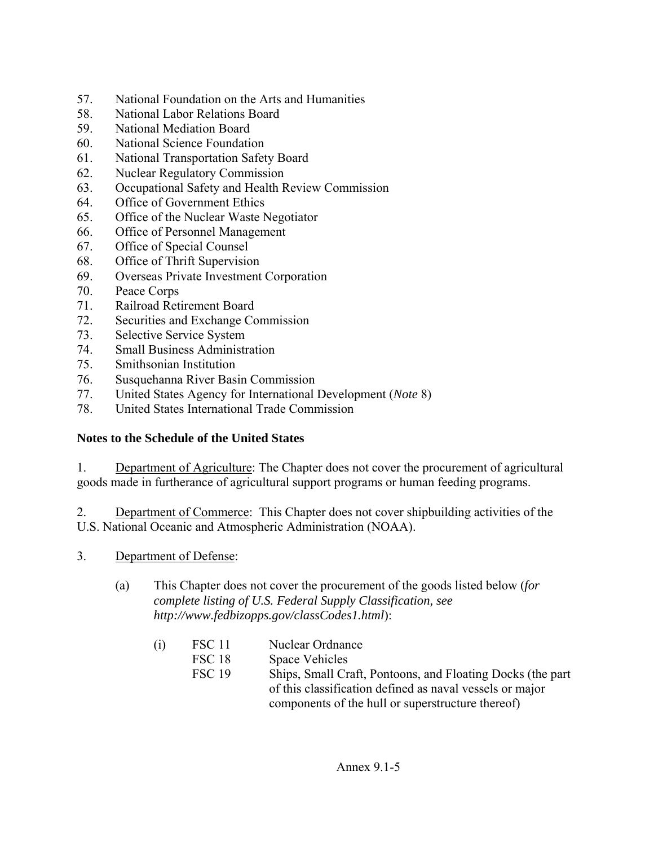- 57. National Foundation on the Arts and Humanities
- 58. National Labor Relations Board
- 59. National Mediation Board
- 60. National Science Foundation
- 61. National Transportation Safety Board
- 62. Nuclear Regulatory Commission
- 63. Occupational Safety and Health Review Commission
- 64. Office of Government Ethics
- 65. Office of the Nuclear Waste Negotiator
- 66. Office of Personnel Management
- 67. Office of Special Counsel
- 68. Office of Thrift Supervision
- 69. Overseas Private Investment Corporation
- 70. Peace Corps
- 71. Railroad Retirement Board
- 72. Securities and Exchange Commission
- 73. Selective Service System
- 74. Small Business Administration
- 75. Smithsonian Institution
- 76. Susquehanna River Basin Commission
- 77. United States Agency for International Development (*Note* 8)
- 78. United States International Trade Commission

# **Notes to the Schedule of the United States**

1. Department of Agriculture: The Chapter does not cover the procurement of agricultural goods made in furtherance of agricultural support programs or human feeding programs.

2. Department of Commerce: This Chapter does not cover shipbuilding activities of the U.S. National Oceanic and Atmospheric Administration (NOAA).

- 3. Department of Defense:
	- (a) This Chapter does not cover the procurement of the goods listed below (*for complete listing of U.S. Federal Supply Classification, see http://www.fedbizopps.gov/classCodes1.html*):

| (1) | FSC 11        | Nuclear Ordnance                                           |
|-----|---------------|------------------------------------------------------------|
|     | FSC 18        | Space Vehicles                                             |
|     | <b>FSC 19</b> | Ships, Small Craft, Pontoons, and Floating Docks (the part |
|     |               | of this classification defined as naval vessels or major   |
|     |               | components of the hull or superstructure thereof)          |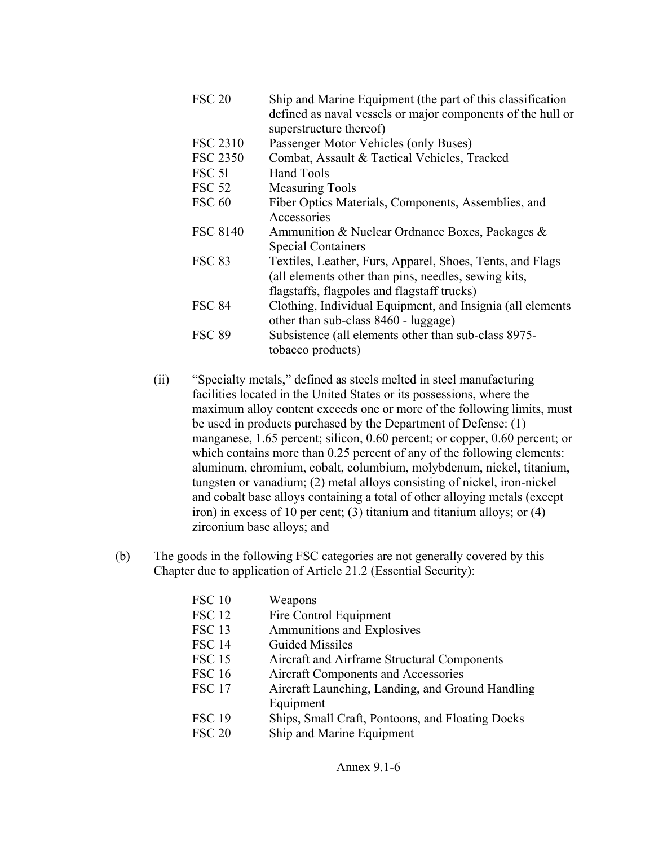| <b>FSC 20</b>     | Ship and Marine Equipment (the part of this classification<br>defined as naval vessels or major components of the hull or<br>superstructure thereof) |  |
|-------------------|------------------------------------------------------------------------------------------------------------------------------------------------------|--|
| <b>FSC 2310</b>   | Passenger Motor Vehicles (only Buses)                                                                                                                |  |
| <b>FSC 2350</b>   | Combat, Assault & Tactical Vehicles, Tracked                                                                                                         |  |
| FSC <sub>51</sub> | Hand Tools                                                                                                                                           |  |
| <b>FSC 52</b>     | <b>Measuring Tools</b>                                                                                                                               |  |
| <b>FSC 60</b>     | Fiber Optics Materials, Components, Assemblies, and                                                                                                  |  |
|                   | Accessories                                                                                                                                          |  |
| <b>FSC 8140</b>   | Ammunition & Nuclear Ordnance Boxes, Packages &<br><b>Special Containers</b>                                                                         |  |
| <b>FSC 83</b>     | Textiles, Leather, Furs, Apparel, Shoes, Tents, and Flags                                                                                            |  |
|                   | (all elements other than pins, needles, sewing kits,                                                                                                 |  |
|                   | flagstaffs, flagpoles and flagstaff trucks)                                                                                                          |  |
| <b>FSC 84</b>     | Clothing, Individual Equipment, and Insignia (all elements                                                                                           |  |
|                   | other than sub-class 8460 - luggage)                                                                                                                 |  |
| <b>FSC 89</b>     | Subsistence (all elements other than sub-class 8975-                                                                                                 |  |
|                   | tobacco products)                                                                                                                                    |  |

- (ii) "Specialty metals," defined as steels melted in steel manufacturing facilities located in the United States or its possessions, where the maximum alloy content exceeds one or more of the following limits, must be used in products purchased by the Department of Defense: (1) manganese, 1.65 percent; silicon, 0.60 percent; or copper, 0.60 percent; or which contains more than 0.25 percent of any of the following elements: aluminum, chromium, cobalt, columbium, molybdenum, nickel, titanium, tungsten or vanadium; (2) metal alloys consisting of nickel, iron-nickel and cobalt base alloys containing a total of other alloying metals (except iron) in excess of 10 per cent; (3) titanium and titanium alloys; or (4) zirconium base alloys; and
- (b) The goods in the following FSC categories are not generally covered by this Chapter due to application of Article 21.2 (Essential Security):

| Weapons                                          |
|--------------------------------------------------|
| Fire Control Equipment                           |
| Ammunitions and Explosives                       |
| <b>Guided Missiles</b>                           |
| Aircraft and Airframe Structural Components      |
| Aircraft Components and Accessories              |
| Aircraft Launching, Landing, and Ground Handling |
| Equipment                                        |
| Ships, Small Craft, Pontoons, and Floating Docks |
| Ship and Marine Equipment                        |
|                                                  |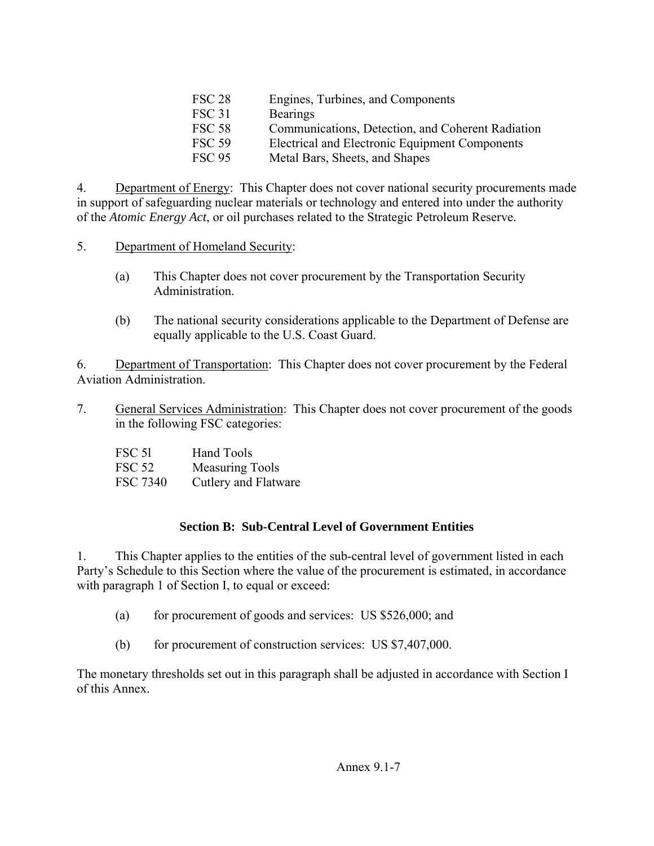| <b>FSC 28</b> | Engines, Turbines, and Components                 |
|---------------|---------------------------------------------------|
| <b>FSC 31</b> | <b>Bearings</b>                                   |
| <b>FSC 58</b> | Communications, Detection, and Coherent Radiation |
| <b>FSC 59</b> | Electrical and Electronic Equipment Components    |
| <b>FSC 95</b> | Metal Bars, Sheets, and Shapes                    |

4. Department of Energy: This Chapter does not cover national security procurements made in support of safeguarding nuclear materials or technology and entered into under the authority of the *Atomic Energy Act*, or oil purchases related to the Strategic Petroleum Reserve.

- 5. Department of Homeland Security:
	- (a) This Chapter does not cover procurement by the Transportation Security Administration.
	- (b) The national security considerations applicable to the Department of Defense are equally applicable to the U.S. Coast Guard.

6. Department of Transportation: This Chapter does not cover procurement by the Federal Aviation Administration.

7. General Services Administration: This Chapter does not cover procurement of the goods in the following FSC categories:

| <b>FSC 51</b> | <b>Hand Tools</b>      |
|---------------|------------------------|
| <b>FSC 52</b> | <b>Measuring Tools</b> |
| FSC 7340      | Cutlery and Flatware   |

### **Section B: Sub-Central Level of Government Entities**

1. This Chapter applies to the entities of the sub-central level of government listed in each Party's Schedule to this Section where the value of the procurement is estimated, in accordance with paragraph 1 of Section I, to equal or exceed:

- (a) for procurement of goods and services: US \$526,000; and
- (b) for procurement of construction services: US \$7,407,000.

The monetary thresholds set out in this paragraph shall be adjusted in accordance with Section I of this Annex.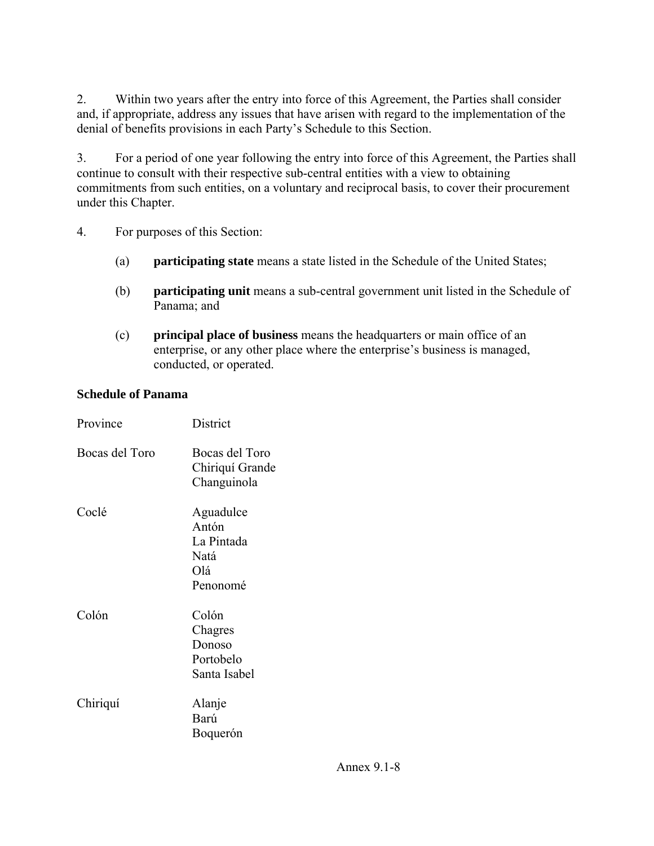2. Within two years after the entry into force of this Agreement, the Parties shall consider and, if appropriate, address any issues that have arisen with regard to the implementation of the denial of benefits provisions in each Party's Schedule to this Section.

3. For a period of one year following the entry into force of this Agreement, the Parties shall continue to consult with their respective sub-central entities with a view to obtaining commitments from such entities, on a voluntary and reciprocal basis, to cover their procurement under this Chapter.

- 4. For purposes of this Section:
	- (a) **participating state** means a state listed in the Schedule of the United States;
	- (b) **participating unit** means a sub-central government unit listed in the Schedule of Panama; and
	- (c) **principal place of business** means the headquarters or main office of an enterprise, or any other place where the enterprise's business is managed, conducted, or operated.

#### **Schedule of Panama**

| Province       | District                                                    |
|----------------|-------------------------------------------------------------|
| Bocas del Toro | Bocas del Toro<br>Chiriquí Grande<br>Changuinola            |
| Coclé          | Aguadulce<br>Antón<br>La Pintada<br>Natá<br>Olá<br>Penonomé |
| Colón          | Colón<br>Chagres<br>Donoso<br>Portobelo<br>Santa Isabel     |
| Chiriquí       | Alanje<br>Barú<br>Boquerón                                  |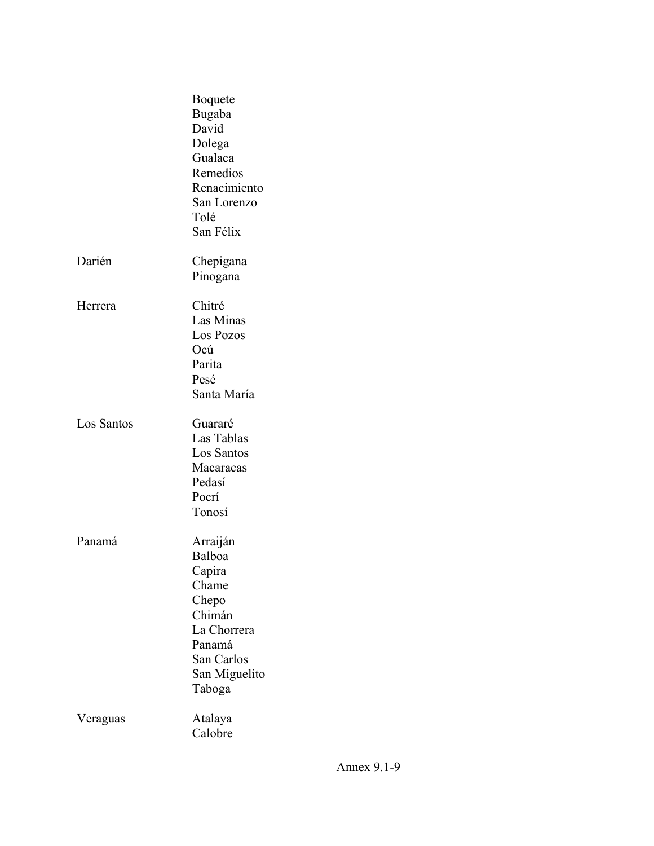|            | <b>B</b> oquete<br>Bugaba<br>David<br>Dolega<br>Gualaca<br>Remedios<br>Renacimiento<br>San Lorenzo<br>Tolé<br>San Félix    |
|------------|----------------------------------------------------------------------------------------------------------------------------|
| Darién     | Chepigana<br>Pinogana                                                                                                      |
| Herrera    | Chitré<br>Las Minas<br>Los Pozos<br>Ocú<br>Parita<br>Pesé<br>Santa María                                                   |
| Los Santos | Guararé<br>Las Tablas<br>Los Santos<br>Macaracas<br>Pedasí<br>Pocrí<br>Tonosí                                              |
| Panamá     | Arraiján<br>Balboa<br>Capira<br>Chame<br>Chepo<br>Chimán<br>La Chorrera<br>Panamá<br>San Carlos<br>San Miguelito<br>Taboga |
| Veraguas   | Atalaya<br>Calobre                                                                                                         |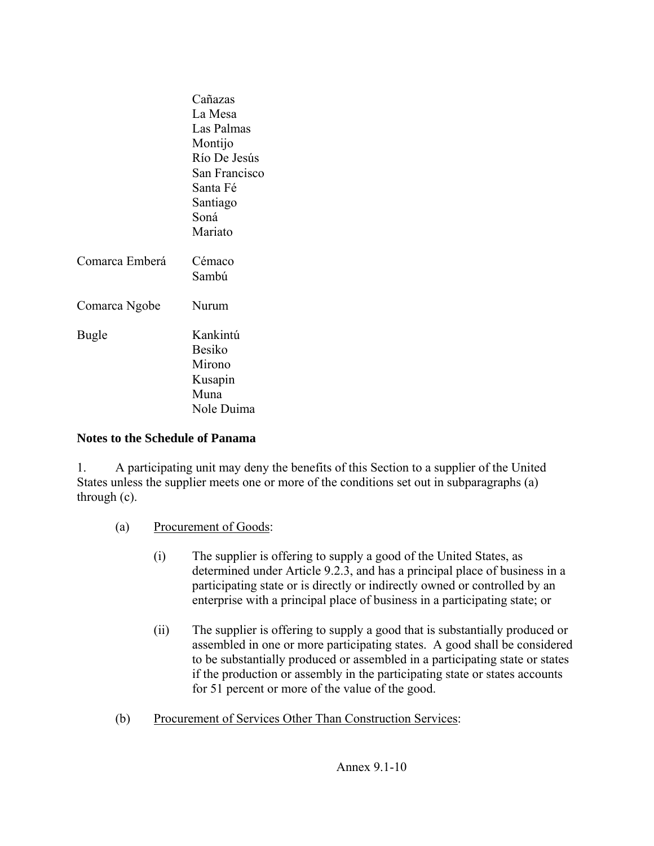|                | Cañazas<br>La Mesa<br>Las Palmas<br>Montijo<br>Río De Jesús<br>San Francisco<br>Santa Fé<br>Santiago<br>Soná<br>Mariato |
|----------------|-------------------------------------------------------------------------------------------------------------------------|
| Comarca Emberá | Cémaco<br>Sambú                                                                                                         |
| Comarca Ngobe  | Nurum                                                                                                                   |
| <b>Bugle</b>   | Kankintú<br><b>Besiko</b><br>Mirono<br>Kusapin<br>Muna<br>Nole Duima                                                    |

#### **Notes to the Schedule of Panama**

1. A participating unit may deny the benefits of this Section to a supplier of the United States unless the supplier meets one or more of the conditions set out in subparagraphs (a) through (c).

- (a) Procurement of Goods:
	- (i) The supplier is offering to supply a good of the United States, as determined under Article 9.2.3, and has a principal place of business in a participating state or is directly or indirectly owned or controlled by an enterprise with a principal place of business in a participating state; or
	- (ii) The supplier is offering to supply a good that is substantially produced or assembled in one or more participating states. A good shall be considered to be substantially produced or assembled in a participating state or states if the production or assembly in the participating state or states accounts for 51 percent or more of the value of the good.
- (b) Procurement of Services Other Than Construction Services: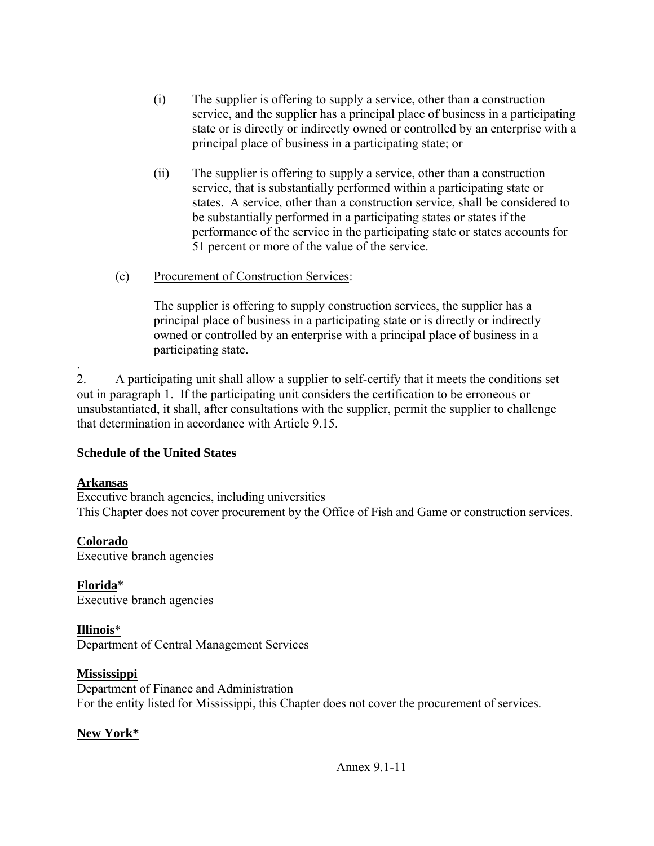- (i) The supplier is offering to supply a service, other than a construction service, and the supplier has a principal place of business in a participating state or is directly or indirectly owned or controlled by an enterprise with a principal place of business in a participating state; or
- (ii) The supplier is offering to supply a service, other than a construction service, that is substantially performed within a participating state or states. A service, other than a construction service, shall be considered to be substantially performed in a participating states or states if the performance of the service in the participating state or states accounts for 51 percent or more of the value of the service.
- (c) Procurement of Construction Services:

The supplier is offering to supply construction services, the supplier has a principal place of business in a participating state or is directly or indirectly owned or controlled by an enterprise with a principal place of business in a participating state.

. 2. A participating unit shall allow a supplier to self-certify that it meets the conditions set out in paragraph 1. If the participating unit considers the certification to be erroneous or unsubstantiated, it shall, after consultations with the supplier, permit the supplier to challenge that determination in accordance with Article 9.15.

### **Schedule of the United States**

#### **Arkansas**

Executive branch agencies, including universities This Chapter does not cover procurement by the Office of Fish and Game or construction services.

### **Colorado**

Executive branch agencies

**Florida**\* Executive branch agencies

### **Illinois**\*

Department of Central Management Services

### **Mississippi**

Department of Finance and Administration For the entity listed for Mississippi, this Chapter does not cover the procurement of services.

### **New York\***

Annex 9.1-11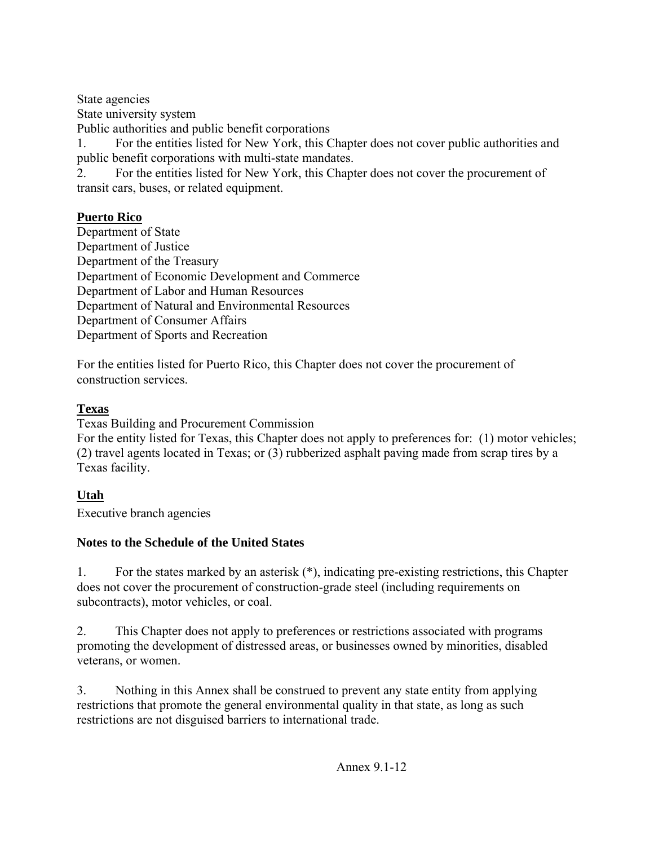State agencies

State university system

Public authorities and public benefit corporations

1. For the entities listed for New York, this Chapter does not cover public authorities and public benefit corporations with multi-state mandates.

2. For the entities listed for New York, this Chapter does not cover the procurement of transit cars, buses, or related equipment.

### **Puerto Rico**

Department of State Department of Justice Department of the Treasury Department of Economic Development and Commerce Department of Labor and Human Resources Department of Natural and Environmental Resources Department of Consumer Affairs Department of Sports and Recreation

For the entities listed for Puerto Rico, this Chapter does not cover the procurement of construction services.

#### **Texas**

Texas Building and Procurement Commission

For the entity listed for Texas, this Chapter does not apply to preferences for: (1) motor vehicles; (2) travel agents located in Texas; or (3) rubberized asphalt paving made from scrap tires by a Texas facility.

### **Utah**

Executive branch agencies

### **Notes to the Schedule of the United States**

1. For the states marked by an asterisk (\*), indicating pre-existing restrictions, this Chapter does not cover the procurement of construction-grade steel (including requirements on subcontracts), motor vehicles, or coal.

2. This Chapter does not apply to preferences or restrictions associated with programs promoting the development of distressed areas, or businesses owned by minorities, disabled veterans, or women.

3. Nothing in this Annex shall be construed to prevent any state entity from applying restrictions that promote the general environmental quality in that state, as long as such restrictions are not disguised barriers to international trade.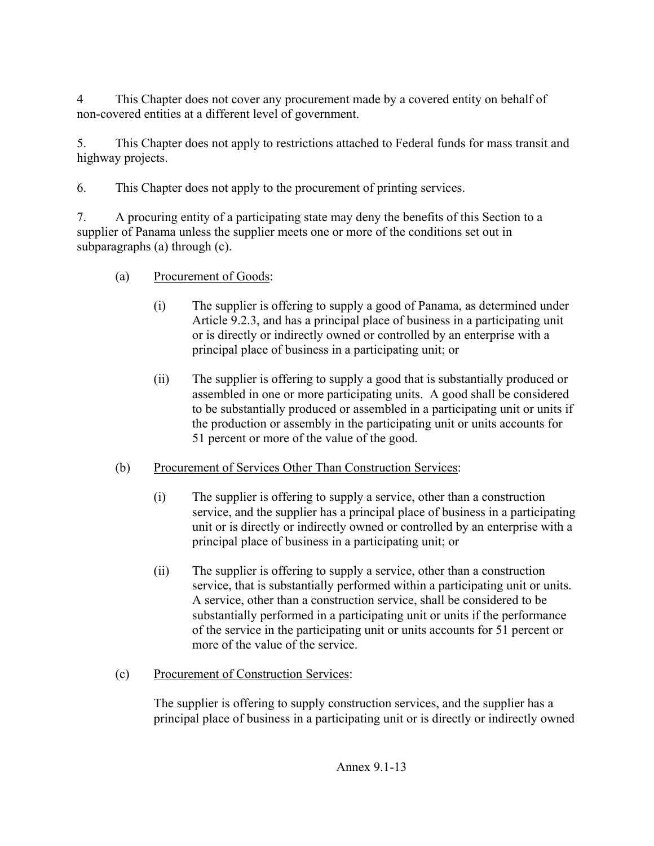4 This Chapter does not cover any procurement made by a covered entity on behalf of non-covered entities at a different level of government.

5. This Chapter does not apply to restrictions attached to Federal funds for mass transit and highway projects.

6. This Chapter does not apply to the procurement of printing services.

7. A procuring entity of a participating state may deny the benefits of this Section to a supplier of Panama unless the supplier meets one or more of the conditions set out in subparagraphs (a) through (c).

- (a) Procurement of Goods:
	- (i) The supplier is offering to supply a good of Panama, as determined under Article 9.2.3, and has a principal place of business in a participating unit or is directly or indirectly owned or controlled by an enterprise with a principal place of business in a participating unit; or
	- (ii) The supplier is offering to supply a good that is substantially produced or assembled in one or more participating units. A good shall be considered to be substantially produced or assembled in a participating unit or units if the production or assembly in the participating unit or units accounts for 51 percent or more of the value of the good.

# (b) Procurement of Services Other Than Construction Services:

- (i) The supplier is offering to supply a service, other than a construction service, and the supplier has a principal place of business in a participating unit or is directly or indirectly owned or controlled by an enterprise with a principal place of business in a participating unit; or
- (ii) The supplier is offering to supply a service, other than a construction service, that is substantially performed within a participating unit or units. A service, other than a construction service, shall be considered to be substantially performed in a participating unit or units if the performance of the service in the participating unit or units accounts for 51 percent or more of the value of the service.
- (c) Procurement of Construction Services:

The supplier is offering to supply construction services, and the supplier has a principal place of business in a participating unit or is directly or indirectly owned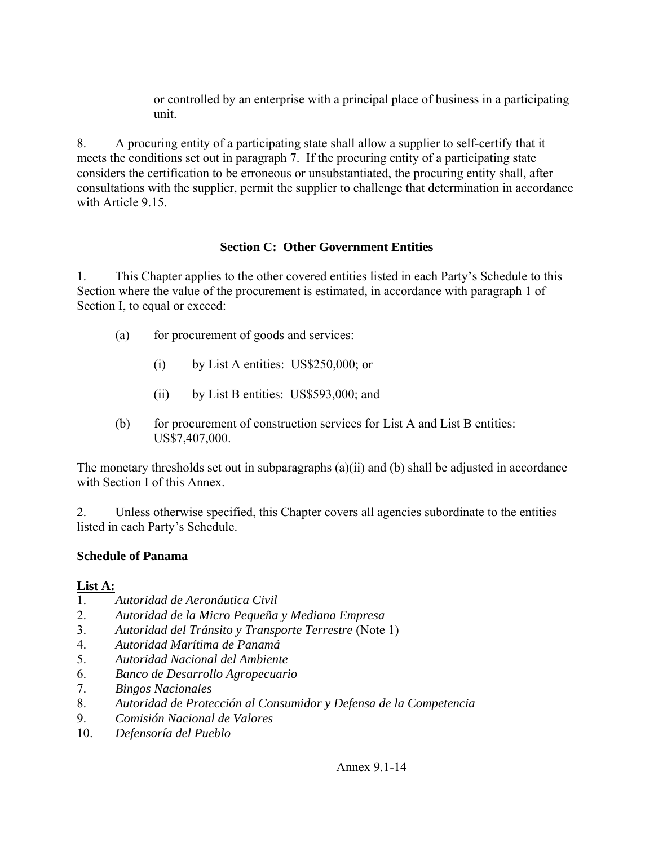or controlled by an enterprise with a principal place of business in a participating unit.

8. A procuring entity of a participating state shall allow a supplier to self-certify that it meets the conditions set out in paragraph 7. If the procuring entity of a participating state considers the certification to be erroneous or unsubstantiated, the procuring entity shall, after consultations with the supplier, permit the supplier to challenge that determination in accordance with Article 9.15

#### **Section C: Other Government Entities**

1. This Chapter applies to the other covered entities listed in each Party's Schedule to this Section where the value of the procurement is estimated, in accordance with paragraph 1 of Section I, to equal or exceed:

- (a) for procurement of goods and services:
	- (i) by List A entities: US\$250,000; or
	- (ii) by List B entities: US\$593,000; and
- (b) for procurement of construction services for List A and List B entities: US\$7,407,000.

The monetary thresholds set out in subparagraphs (a)(ii) and (b) shall be adjusted in accordance with Section I of this Annex.

2. Unless otherwise specified, this Chapter covers all agencies subordinate to the entities listed in each Party's Schedule.

### **Schedule of Panama**

#### **List A:**

- 1. *Autoridad de Aeronáutica Civil*
- 2. *Autoridad de la Micro Pequeña y Mediana Empresa*
- 3. *Autoridad del Tránsito y Transporte Terrestre* (Note 1)
- 4. *Autoridad Marítima de Panamá*
- 5. *Autoridad Nacional del Ambiente*
- 6. *Banco de Desarrollo Agropecuario*
- 7. *Bingos Nacionales*
- 8. *Autoridad de Protección al Consumidor y Defensa de la Competencia*
- 9. *Comisión Nacional de Valores*
- 10. *Defensoría del Pueblo*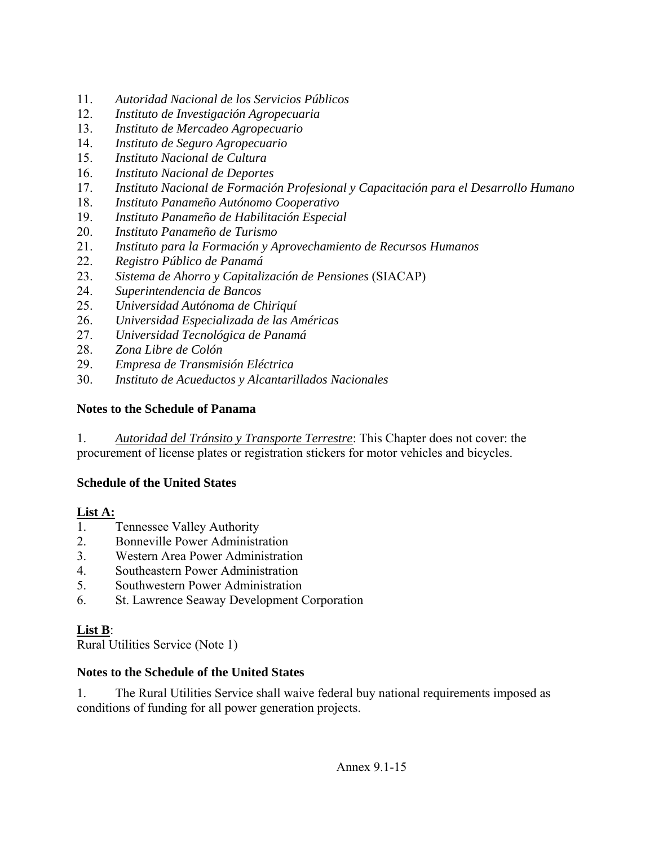- 11. *Autoridad Nacional de los Servicios Públicos*
- 12. *Instituto de Investigación Agropecuaria*
- 13. *Instituto de Mercadeo Agropecuario*
- 14. *Instituto de Seguro Agropecuario*
- 15. *Instituto Nacional de Cultura*
- 16. *Instituto Nacional de Deportes*
- 17. *Instituto Nacional de Formación Profesional y Capacitación para el Desarrollo Humano*
- 18. *Instituto Panameño Autónomo Cooperativo*
- 19. *Instituto Panameño de Habilitación Especial*
- 20. *Instituto Panameño de Turismo*
- 21. *Instituto para la Formación y Aprovechamiento de Recursos Humanos*
- 22. *Registro Público de Panamá*
- 23. *Sistema de Ahorro y Capitalización de Pensiones* (SIACAP)
- 24. *Superintendencia de Bancos*
- 25. *Universidad Autónoma de Chiriquí*
- 26. *Universidad Especializada de las Américas*
- 27. *Universidad Tecnológica de Panamá*
- 28. *Zona Libre de Colón*
- 29. *Empresa de Transmisión Eléctrica*
- 30. *Instituto de Acueductos y Alcantarillados Nacionales*

#### **Notes to the Schedule of Panama**

1. *Autoridad del Tránsito y Transporte Terrestre*: This Chapter does not cover: the procurement of license plates or registration stickers for motor vehicles and bicycles.

### **Schedule of the United States**

#### **List A:**

- 1. Tennessee Valley Authority
- 2. Bonneville Power Administration
- 3. Western Area Power Administration
- 4. Southeastern Power Administration
- 5. Southwestern Power Administration
- 6. St. Lawrence Seaway Development Corporation

### **List B**:

Rural Utilities Service (Note 1)

### **Notes to the Schedule of the United States**

1. The Rural Utilities Service shall waive federal buy national requirements imposed as conditions of funding for all power generation projects.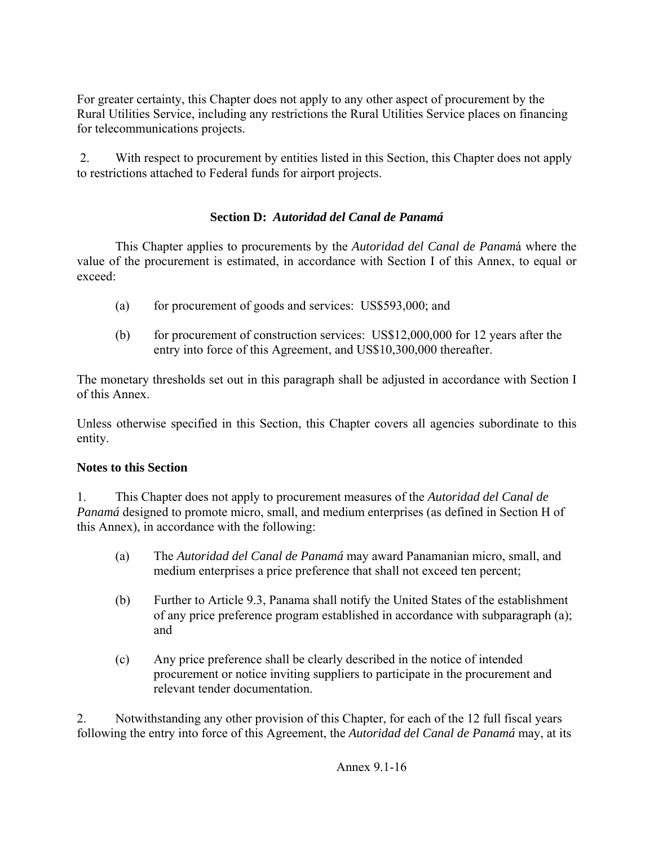For greater certainty, this Chapter does not apply to any other aspect of procurement by the Rural Utilities Service, including any restrictions the Rural Utilities Service places on financing for telecommunications projects.

 2. With respect to procurement by entities listed in this Section, this Chapter does not apply to restrictions attached to Federal funds for airport projects.

### **Section D:** *Autoridad del Canal de Panamá*

 This Chapter applies to procurements by the *Autoridad del Canal de Panam*á where the value of the procurement is estimated, in accordance with Section I of this Annex, to equal or exceed:

- (a) for procurement of goods and services: US\$593,000; and
- (b) for procurement of construction services: US\$12,000,000 for 12 years after the entry into force of this Agreement, and US\$10,300,000 thereafter.

The monetary thresholds set out in this paragraph shall be adjusted in accordance with Section I of this Annex.

Unless otherwise specified in this Section, this Chapter covers all agencies subordinate to this entity.

#### **Notes to this Section**

1. This Chapter does not apply to procurement measures of the *Autoridad del Canal de Panamá* designed to promote micro, small, and medium enterprises (as defined in Section H of this Annex), in accordance with the following:

- (a) The *Autoridad del Canal de Panamá* may award Panamanian micro, small, and medium enterprises a price preference that shall not exceed ten percent;
- (b) Further to Article 9.3, Panama shall notify the United States of the establishment of any price preference program established in accordance with subparagraph (a); and
- (c) Any price preference shall be clearly described in the notice of intended procurement or notice inviting suppliers to participate in the procurement and relevant tender documentation.

2. Notwithstanding any other provision of this Chapter, for each of the 12 full fiscal years following the entry into force of this Agreement, the *Autoridad del Canal de Panamá* may, at its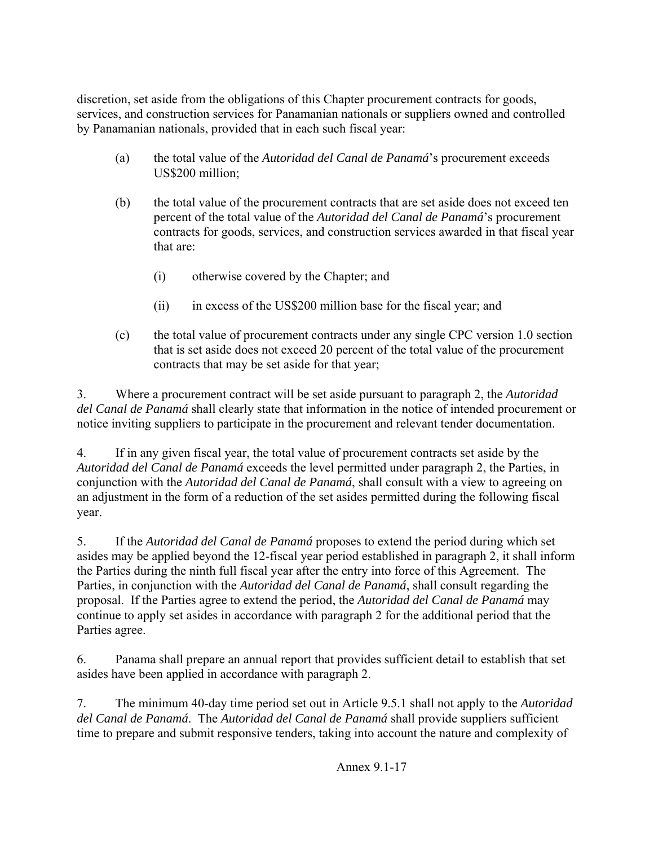discretion, set aside from the obligations of this Chapter procurement contracts for goods, services, and construction services for Panamanian nationals or suppliers owned and controlled by Panamanian nationals, provided that in each such fiscal year:

- (a) the total value of the *Autoridad del Canal de Panamá*'s procurement exceeds US\$200 million;
- (b) the total value of the procurement contracts that are set aside does not exceed ten percent of the total value of the *Autoridad del Canal de Panamá*'s procurement contracts for goods, services, and construction services awarded in that fiscal year that are:
	- (i) otherwise covered by the Chapter; and
	- (ii) in excess of the US\$200 million base for the fiscal year; and
- (c) the total value of procurement contracts under any single CPC version 1.0 section that is set aside does not exceed 20 percent of the total value of the procurement contracts that may be set aside for that year;

3. Where a procurement contract will be set aside pursuant to paragraph 2, the *Autoridad del Canal de Panamá* shall clearly state that information in the notice of intended procurement or notice inviting suppliers to participate in the procurement and relevant tender documentation.

4. If in any given fiscal year, the total value of procurement contracts set aside by the *Autoridad del Canal de Panamá* exceeds the level permitted under paragraph 2, the Parties, in conjunction with the *Autoridad del Canal de Panamá*, shall consult with a view to agreeing on an adjustment in the form of a reduction of the set asides permitted during the following fiscal year.

5. If the *Autoridad del Canal de Panamá* proposes to extend the period during which set asides may be applied beyond the 12-fiscal year period established in paragraph 2, it shall inform the Parties during the ninth full fiscal year after the entry into force of this Agreement. The Parties, in conjunction with the *Autoridad del Canal de Panamá*, shall consult regarding the proposal. If the Parties agree to extend the period, the *Autoridad del Canal de Panamá* may continue to apply set asides in accordance with paragraph 2 for the additional period that the Parties agree.

6. Panama shall prepare an annual report that provides sufficient detail to establish that set asides have been applied in accordance with paragraph 2.

7. The minimum 40-day time period set out in Article 9.5.1 shall not apply to the *Autoridad del Canal de Panamá*. The *Autoridad del Canal de Panamá* shall provide suppliers sufficient time to prepare and submit responsive tenders, taking into account the nature and complexity of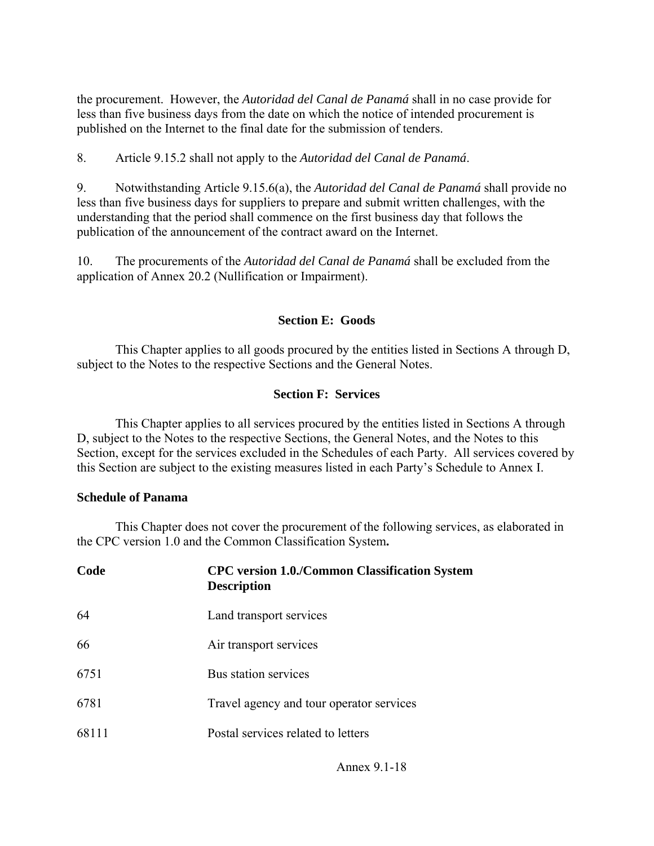the procurement. However, the *Autoridad del Canal de Panamá* shall in no case provide for less than five business days from the date on which the notice of intended procurement is published on the Internet to the final date for the submission of tenders.

8. Article 9.15.2 shall not apply to the *Autoridad del Canal de Panamá*.

9. Notwithstanding Article 9.15.6(a), the *Autoridad del Canal de Panamá* shall provide no less than five business days for suppliers to prepare and submit written challenges, with the understanding that the period shall commence on the first business day that follows the publication of the announcement of the contract award on the Internet.

10. The procurements of the *Autoridad del Canal de Panamá* shall be excluded from the application of Annex 20.2 (Nullification or Impairment).

#### **Section E: Goods**

 This Chapter applies to all goods procured by the entities listed in Sections A through D, subject to the Notes to the respective Sections and the General Notes.

#### **Section F: Services**

 This Chapter applies to all services procured by the entities listed in Sections A through D, subject to the Notes to the respective Sections, the General Notes, and the Notes to this Section, except for the services excluded in the Schedules of each Party. All services covered by this Section are subject to the existing measures listed in each Party's Schedule to Annex I.

#### **Schedule of Panama**

 This Chapter does not cover the procurement of the following services, as elaborated in the CPC version 1.0 and the Common Classification System**.** 

| Code  | <b>CPC</b> version 1.0./Common Classification System<br><b>Description</b> |
|-------|----------------------------------------------------------------------------|
| 64    | Land transport services                                                    |
| 66    | Air transport services                                                     |
| 6751  | Bus station services                                                       |
| 6781  | Travel agency and tour operator services                                   |
| 68111 | Postal services related to letters                                         |
|       |                                                                            |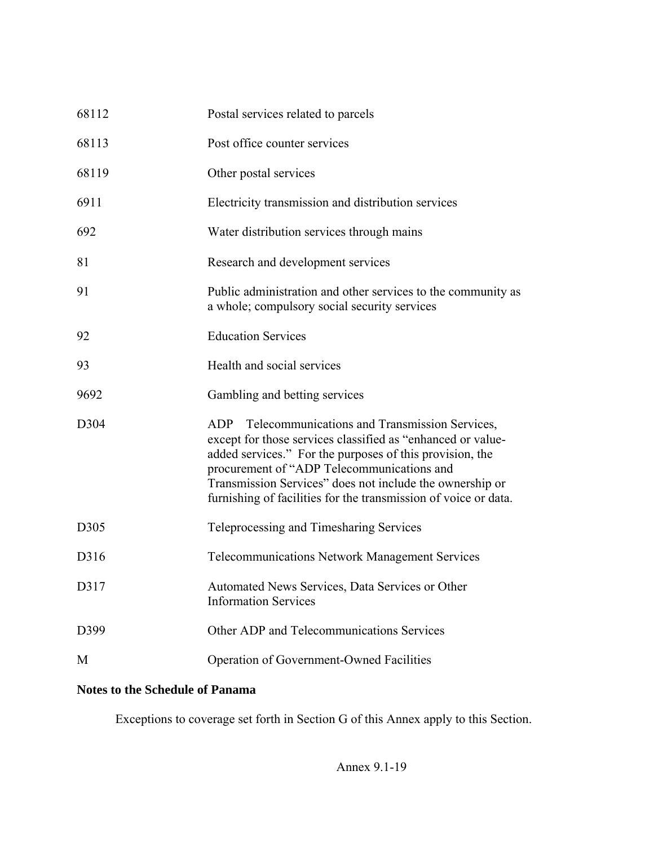| 68112 | Postal services related to parcels                                                                                                                                                                                                                                                                                                                           |
|-------|--------------------------------------------------------------------------------------------------------------------------------------------------------------------------------------------------------------------------------------------------------------------------------------------------------------------------------------------------------------|
| 68113 | Post office counter services                                                                                                                                                                                                                                                                                                                                 |
| 68119 | Other postal services                                                                                                                                                                                                                                                                                                                                        |
| 6911  | Electricity transmission and distribution services                                                                                                                                                                                                                                                                                                           |
| 692   | Water distribution services through mains                                                                                                                                                                                                                                                                                                                    |
| 81    | Research and development services                                                                                                                                                                                                                                                                                                                            |
| 91    | Public administration and other services to the community as<br>a whole; compulsory social security services                                                                                                                                                                                                                                                 |
| 92    | <b>Education Services</b>                                                                                                                                                                                                                                                                                                                                    |
| 93    | Health and social services                                                                                                                                                                                                                                                                                                                                   |
| 9692  | Gambling and betting services                                                                                                                                                                                                                                                                                                                                |
| D304  | Telecommunications and Transmission Services,<br>ADP<br>except for those services classified as "enhanced or value-<br>added services." For the purposes of this provision, the<br>procurement of "ADP Telecommunications and<br>Transmission Services" does not include the ownership or<br>furnishing of facilities for the transmission of voice or data. |
| D305  | Teleprocessing and Timesharing Services                                                                                                                                                                                                                                                                                                                      |
| D316  | <b>Telecommunications Network Management Services</b>                                                                                                                                                                                                                                                                                                        |
| D317  | Automated News Services, Data Services or Other<br><b>Information Services</b>                                                                                                                                                                                                                                                                               |
| D399  | Other ADP and Telecommunications Services                                                                                                                                                                                                                                                                                                                    |
| M     | Operation of Government-Owned Facilities                                                                                                                                                                                                                                                                                                                     |

# **Notes to the Schedule of Panama**

Exceptions to coverage set forth in Section G of this Annex apply to this Section.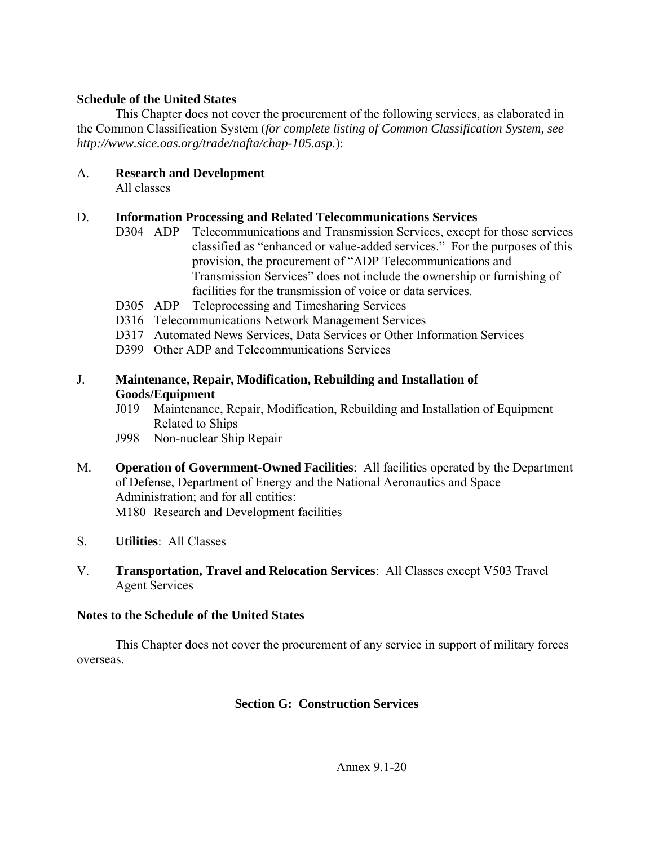#### **Schedule of the United States**

 This Chapter does not cover the procurement of the following services, as elaborated in the Common Classification System (*for complete listing of Common Classification System, see http://www.sice.oas.org/trade/nafta/chap-105.asp.*):

### A. **Research and Development**

All classes

#### D. **Information Processing and Related Telecommunications Services**

- D304 ADP Telecommunications and Transmission Services, except for those services classified as "enhanced or value-added services." For the purposes of this provision, the procurement of "ADP Telecommunications and Transmission Services" does not include the ownership or furnishing of facilities for the transmission of voice or data services.
- D305 ADP Teleprocessing and Timesharing Services
- D316 Telecommunications Network Management Services
- D317 Automated News Services, Data Services or Other Information Services
- D399 Other ADP and Telecommunications Services

#### J. **Maintenance, Repair, Modification, Rebuilding and Installation of Goods/Equipment**

- J019 Maintenance, Repair, Modification, Rebuilding and Installation of Equipment Related to Ships
- J998 Non-nuclear Ship Repair
- M. **Operation of Government-Owned Facilities**: All facilities operated by the Department of Defense, Department of Energy and the National Aeronautics and Space Administration; and for all entities: M180 Research and Development facilities
- S. **Utilities**: All Classes
- V. **Transportation, Travel and Relocation Services**: All Classes except V503 Travel Agent Services

#### **Notes to the Schedule of the United States**

 This Chapter does not cover the procurement of any service in support of military forces overseas.

### **Section G: Construction Services**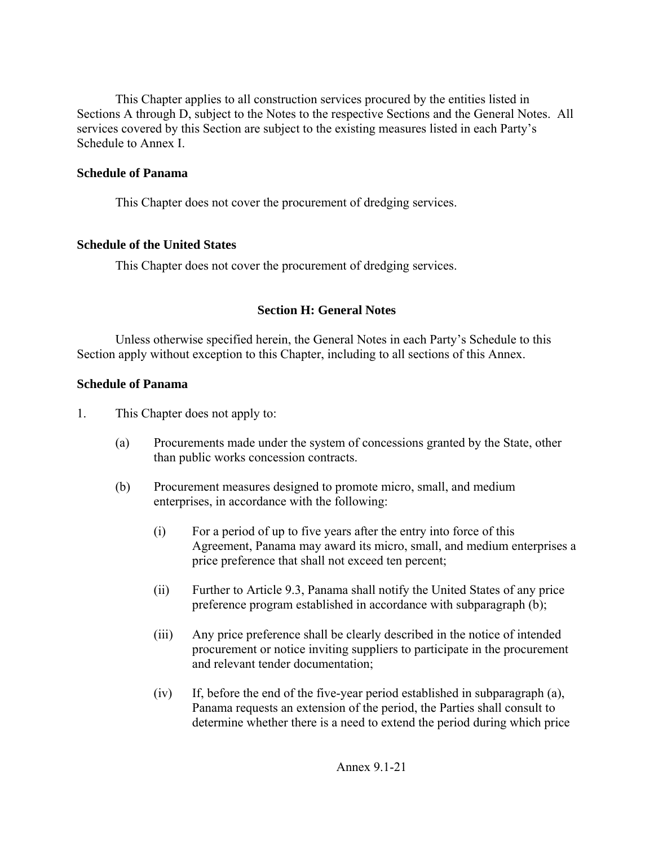This Chapter applies to all construction services procured by the entities listed in Sections A through D, subject to the Notes to the respective Sections and the General Notes. All services covered by this Section are subject to the existing measures listed in each Party's Schedule to Annex I.

#### **Schedule of Panama**

This Chapter does not cover the procurement of dredging services.

#### **Schedule of the United States**

This Chapter does not cover the procurement of dredging services.

#### **Section H: General Notes**

 Unless otherwise specified herein, the General Notes in each Party's Schedule to this Section apply without exception to this Chapter, including to all sections of this Annex.

#### **Schedule of Panama**

1. This Chapter does not apply to:

- (a) Procurements made under the system of concessions granted by the State, other than public works concession contracts.
- (b) Procurement measures designed to promote micro, small, and medium enterprises, in accordance with the following:
	- (i) For a period of up to five years after the entry into force of this Agreement, Panama may award its micro, small, and medium enterprises a price preference that shall not exceed ten percent;
	- (ii) Further to Article 9.3, Panama shall notify the United States of any price preference program established in accordance with subparagraph (b);
	- (iii) Any price preference shall be clearly described in the notice of intended procurement or notice inviting suppliers to participate in the procurement and relevant tender documentation;
	- (iv) If, before the end of the five-year period established in subparagraph (a), Panama requests an extension of the period, the Parties shall consult to determine whether there is a need to extend the period during which price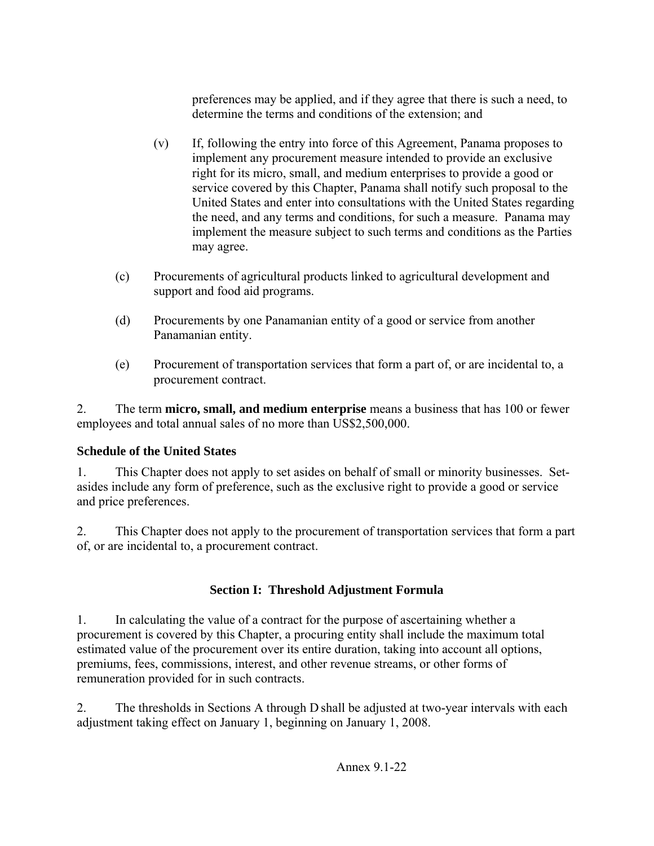preferences may be applied, and if they agree that there is such a need, to determine the terms and conditions of the extension; and

- (v) If, following the entry into force of this Agreement, Panama proposes to implement any procurement measure intended to provide an exclusive right for its micro, small, and medium enterprises to provide a good or service covered by this Chapter, Panama shall notify such proposal to the United States and enter into consultations with the United States regarding the need, and any terms and conditions, for such a measure. Panama may implement the measure subject to such terms and conditions as the Parties may agree.
- (c) Procurements of agricultural products linked to agricultural development and support and food aid programs.
- (d) Procurements by one Panamanian entity of a good or service from another Panamanian entity.
- (e) Procurement of transportation services that form a part of, or are incidental to, a procurement contract.

2. The term **micro, small, and medium enterprise** means a business that has 100 or fewer employees and total annual sales of no more than US\$2,500,000.

# **Schedule of the United States**

1. This Chapter does not apply to set asides on behalf of small or minority businesses. Setasides include any form of preference, such as the exclusive right to provide a good or service and price preferences.

2. This Chapter does not apply to the procurement of transportation services that form a part of, or are incidental to, a procurement contract.

# **Section I: Threshold Adjustment Formula**

1. In calculating the value of a contract for the purpose of ascertaining whether a procurement is covered by this Chapter, a procuring entity shall include the maximum total estimated value of the procurement over its entire duration, taking into account all options, premiums, fees, commissions, interest, and other revenue streams, or other forms of remuneration provided for in such contracts.

2. The thresholds in Sections A through D shall be adjusted at two-year intervals with each adjustment taking effect on January 1, beginning on January 1, 2008.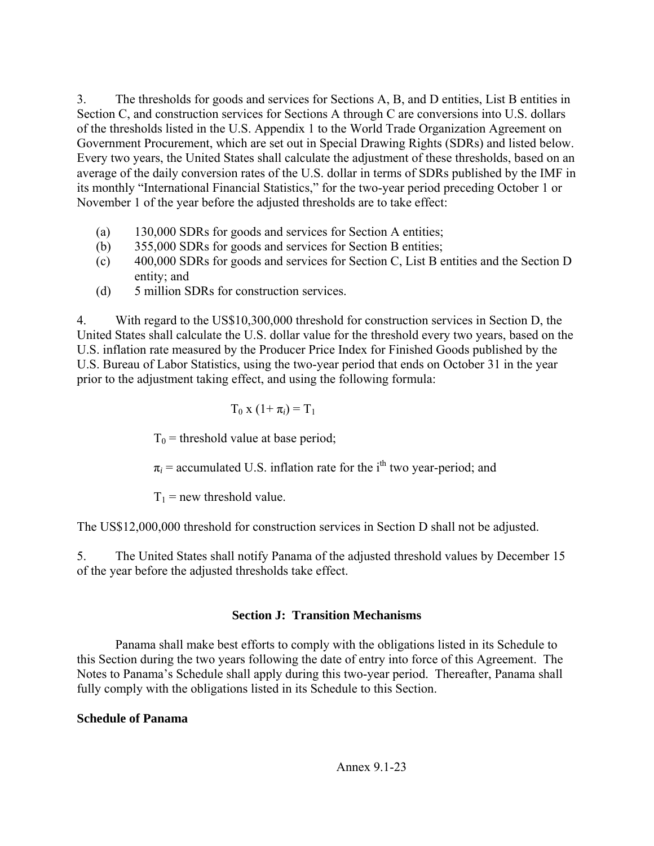3. The thresholds for goods and services for Sections A, B, and D entities, List B entities in Section C, and construction services for Sections A through C are conversions into U.S. dollars of the thresholds listed in the U.S. Appendix 1 to the World Trade Organization Agreement on Government Procurement, which are set out in Special Drawing Rights (SDRs) and listed below. Every two years, the United States shall calculate the adjustment of these thresholds, based on an average of the daily conversion rates of the U.S. dollar in terms of SDRs published by the IMF in its monthly "International Financial Statistics," for the two-year period preceding October 1 or November 1 of the year before the adjusted thresholds are to take effect:

- (a) 130,000 SDRs for goods and services for Section A entities;
- (b) 355,000 SDRs for goods and services for Section B entities;
- (c) 400,000 SDRs for goods and services for Section C, List B entities and the Section D entity; and
- (d) 5 million SDRs for construction services.

4. With regard to the US\$10,300,000 threshold for construction services in Section D, the United States shall calculate the U.S. dollar value for the threshold every two years, based on the U.S. inflation rate measured by the Producer Price Index for Finished Goods published by the U.S. Bureau of Labor Statistics, using the two-year period that ends on October 31 in the year prior to the adjustment taking effect, and using the following formula:

$$
T_0 x (1+\pi_i) = T_1
$$

 $T_0$  = threshold value at base period;

 $\pi_i$  = accumulated U.S. inflation rate for the i<sup>th</sup> two year-period; and

 $T_1$  = new threshold value.

The US\$12,000,000 threshold for construction services in Section D shall not be adjusted.

5. The United States shall notify Panama of the adjusted threshold values by December 15 of the year before the adjusted thresholds take effect.

# **Section J: Transition Mechanisms**

 Panama shall make best efforts to comply with the obligations listed in its Schedule to this Section during the two years following the date of entry into force of this Agreement. The Notes to Panama's Schedule shall apply during this two-year period. Thereafter, Panama shall fully comply with the obligations listed in its Schedule to this Section.

# **Schedule of Panama**